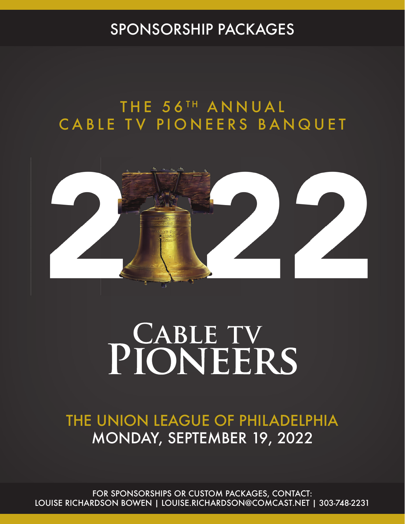## SPONSORSHIP PACKAGES

## THE 56TH ANNUAL CABLE TV PIONEERS BANQUET



# PIONEERS

THE UNION LEAGUE OF PHILADELPHIA MONDAY, SEPTEMBER 19, 2022

FOR SPONSORSHIPS OR CUSTOM PACKAGES, CONTACT: LOUISE RICHARDSON BOWEN | LOUISE.RICHARDSON@COMCAST.NET | 303-748-2231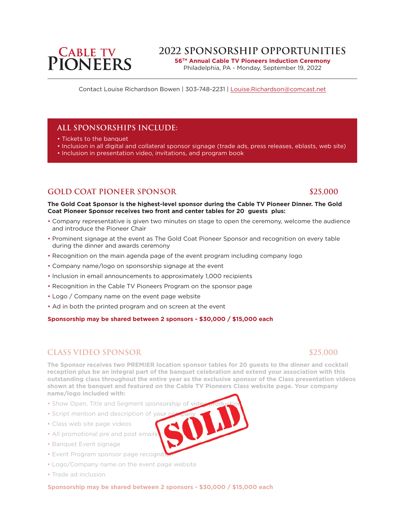**56TH Annual Cable TV Pioneers Induction Ceremony**  Philadelphia, PA - Monday, September 19, 2022

Contact Louise Richardson Bowen | 303-748-2231 | Louise.Richardson@comcast.net

## **All sponsorships include:**

- Tickets to the banquet
- Inclusion in all digital and collateral sponsor signage (trade ads, press releases, eblasts, web site)
- Inclusion in presentation video, invitations, and program book

## **GOLD COAT PIONEER SPONSOR \$25,000**

#### **The Gold Coat Sponsor is the highest-level sponsor during the Cable TV Pioneer Dinner. The Gold Coat Pioneer Sponsor receives two front and center tables for 20 guests plus:**

- Company representative is given two minutes on stage to open the ceremony, welcome the audience and introduce the Pioneer Chair
- Prominent signage at the event as The Gold Coat Pioneer Sponsor and recognition on every table during the dinner and awards ceremony
- Recognition on the main agenda page of the event program including company logo
- Company name/logo on sponsorship signage at the event
- Inclusion in email announcements to approximately 1,000 recipients
- Recognition in the Cable TV Pioneers Program on the sponsor page
- Logo / Company name on the event page website
- Ad in both the printed program and on screen at the event

**Sponsorship may be shared between 2 sponsors - \$30,000 / \$15,000 each**

## **CLASS VIDEO SPONSOR \$25,000**

**The Sponsor receives two PREMIER location sponsor tables for 20 guests to the dinner and cocktail reception plus be an integral part of the banquet celebration and extend your association with this outstanding class throughout the entire year as the exclusive sponsor of the Class presentation videos shown at the banquet and featured on the Cable TV Pioneers Class website page. Your company name/logo included with:**

- Show Open, Title and Segment sponsorship of vi
- Script mention and description of you
- Class web site page videos
- All promotional pre and post emails
- Banquet Event signage
- Event Program sponsor page recogni
- Logo/Company name on the event page website
- Trade ad inclusion

**Sponsorship may be shared between 2 sponsors - \$30,000 / \$15,000 each**

## **CABLE TV<br>PIONEERS**

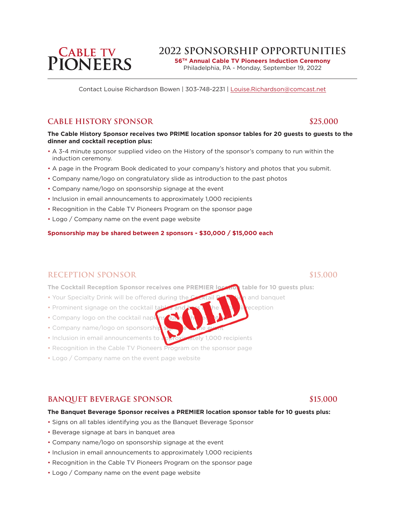**56TH Annual Cable TV Pioneers Induction Ceremony**  Philadelphia, PA - Monday, September 19, 2022

Contact Louise Richardson Bowen | 303-748-2231 | Louise.Richardson@comcast.net

### **CABLE HISTORY SPONSOR** \$25,000

#### **The Cable History Sponsor receives two PRIME location sponsor tables for 20 guests to guests to the dinner and cocktail reception plus:**

- A 3-4 minute sponsor supplied video on the History of the sponsor's company to run within the induction ceremony.
- A page in the Program Book dedicated to your company's history and photos that you submit.
- Company name/logo on congratulatory slide as introduction to the past photos
- Company name/logo on sponsorship signage at the event
- Inclusion in email announcements to approximately 1,000 recipients
- Recognition in the Cable TV Pioneers Program on the sponsor page
- Logo / Company name on the event page website

#### **Sponsorship may be shared between 2 sponsors - \$30,000 / \$15,000 each**

### **RECEPTION SPONSOR \$15,000**

**The Cocktail Reception Sponsor receives one PREMIER location table for 10 guests plus:**

- Your Specialty Drink will be offered during the Cocktail  $R_{\text{R}}$  and banquet
- Prominent signage on the cocktail tables and  $\mathbf{r}$  at the cocktail reception
- Company logo on the cocktail napk
- Company name/logo on sponsorshi
- Inclusion in email announcements to approximately 1,000 recipients
- Recognition in the Cable TV Pioneers Program on the sponsor page
- Logo / Company name on the event page website

#### **BANQUET BEVERAGE SPONSOR \$15,000**

#### **The Banquet Beverage Sponsor receives a PREMIER location sponsor table for 10 guests plus:**

- Signs on all tables identifying you as the Banquet Beverage Sponsor
- Beverage signage at bars in banquet area
- Company name/logo on sponsorship signage at the event
- Inclusion in email announcements to approximately 1,000 recipients
- Recognition in the Cable TV Pioneers Program on the sponsor page
- Logo / Company name on the event page website

## **CABLE TV<br>PIONEERS**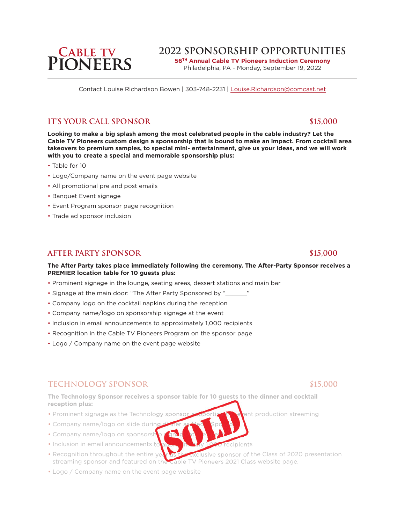**56TH Annual Cable TV Pioneers Induction Ceremony**  Philadelphia, PA - Monday, September 19, 2022

Contact Louise Richardson Bowen | 303-748-2231 | Louise.Richardson@comcast.net

### **IT'S YOUR CALL SPONSOR \$15,000**

**Looking to make a big splash among the most celebrated people in the cable industry? Let the Cable TV Pioneers custom design a sponsorship that is bound to make an impact. From cocktail area takeovers to premium samples, to special mini- entertainment, give us your ideas, and we will work with you to create a special and memorable sponsorship plus:**

- Table for 10
- Logo/Company name on the event page website
- All promotional pre and post emails
- Banquet Event signage
- Event Program sponsor page recognition
- Trade ad sponsor inclusion

#### **AFTER PARTY SPONSOR \$15,000**

#### **The After Party takes place immediately following the ceremony. The After-Party Sponsor receives a PREMIER location table for 10 guests plus:**

- Prominent signage in the lounge, seating areas, dessert stations and main bar
- Signage at the main door: "The After Party Sponsored by "\_\_\_\_
- Company logo on the cocktail napkins during the reception
- Company name/logo on sponsorship signage at the event
- Inclusion in email announcements to approximately 1,000 recipients
- Recognition in the Cable TV Pioneers Program on the sponsor page
- Logo / Company name on the event page website

### **TECHNOLOGY SPONSOR \$15,000**

**The Technology Sponsor receives a sponsor table for 10 guests to the dinner and cocktail reception plus:**

- Prominent signage as the Technology sponsor, supporting the event production streaming
- Company name/logo on slide durin
- Company name/logo on sponsorship
- Inclusion in email announcements to approvide the 1000 recipients
- Recognition throughout the entire year as the exclusive sponsor of the Class of 2020 presentation streaming sponsor and featured on the Cable TV Pioneers 2021 Class website page.
- Logo / Company name on the event page website

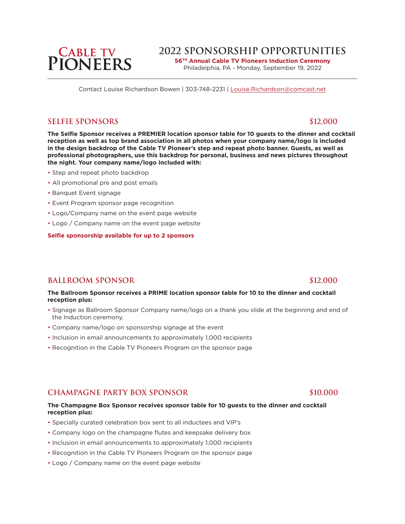**56TH Annual Cable TV Pioneers Induction Ceremony**  Philadelphia, PA - Monday, September 19, 2022

Contact Louise Richardson Bowen | 303-748-2231 | Louise.Richardson@comcast.net

#### **SELFIE SPONSORS** \$12,000

**The Selfie Sponsor receives a PREMIER location sponsor table for 10 guests to the dinner and cocktail reception as well as top brand association in all photos when your company name/logo is included in the design backdrop of the Cable TV Pioneer's step and repeat photo banner. Guests, as well as professional photographers, use this backdrop for personal, business and news pictures throughout the night. Your company name/logo included with:**

- Step and repeat photo backdrop
- All promotional pre and post emails
- Banquet Event signage
- Event Program sponsor page recognition
- Logo/Company name on the event page website
- Logo / Company name on the event page website

**Selfie sponsorship available for up to 2 sponsors**

### **BALLROOM SPONSOR \$12,000**

**The Ballroom Sponsor receives a PRIME location sponsor table for 10 to the dinner and cocktail reception plus:**

- Signage as Ballroom Sponsor Company name/logo on a thank you slide at the beginning and end of the Induction ceremony.
- Company name/logo on sponsorship signage at the event
- Inclusion in email announcements to approximately 1,000 recipients
- Recognition in the Cable TV Pioneers Program on the sponsor page

## **CHAMPAGNE PARTY BOX SPONSOR \$10,000**

#### **The Champagne Box Sponsor receives sponsor table for 10 guests to the dinner and cocktail reception plus:**

- Specially curated celebration box sent to all inductees and VIP's
- Company logo on the champagne flutes and keepsake delivery box
- Inclusion in email announcements to approximately 1,000 recipients
- Recognition in the Cable TV Pioneers Program on the sponsor page
- Logo / Company name on the event page website

## **CABLE TV<br>PIONEERS**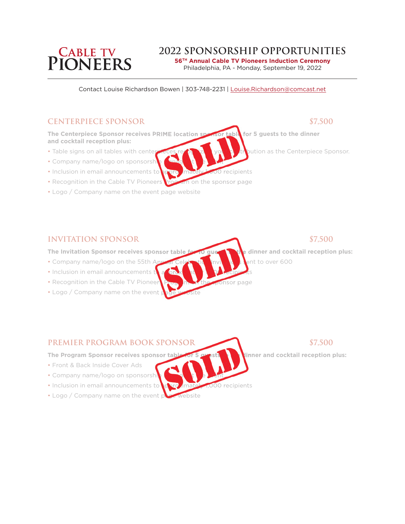## **PIONEERS**

## **2022 Sponsorship Opportunities**

**56TH Annual Cable TV Pioneers Induction Ceremony**  Philadelphia, PA - Monday, September 19, 2022

Contact Louise Richardson Bowen | 303-748-2231 | Louise.Richardson@comcast.net

### **CENTERPIECE SPONSOR \$7,500**

**The Centerpiece Sponsor receives PRIME location sponsor table for 5 guests to the dinner and cocktail reception plus:**

- Table signs on all tables with center reces recognizing your contribution as the Centerpiece Sponsor.
- Company name/logo on sponsorship
- Inclusion in email announcements to approximately 1,000 recipients
- Recognition in the Cable TV Pioneers Program on the sponsor page
- Logo / Company name on the event page website

#### **INVITATION SPONSOR \$7,500**

**The Invitation Sponsor receives sponsor table for 10 guests to the dinner and cocktail reception plus:**

- Company name/logo on the 55th Appendicular View Invitation Institute over 600
- Inclusion in email announcements t
- Recognition in the Cable TV Pioneers Program on the sponsor page
- Logo / Company name on the event

#### **PREMIER PROGRAM BOOK SPONSOR \$7,500**

The Program Sponsor receives sponsor table for 5 gui**ests to the dinner and cocktail reception plus:** 

- Front & Back Inside Cover Ads
- Company name/logo on sponsorship
- Inclusion in email announcements to **a part imately 1,000** recipients
- Logo / Company name on the event page website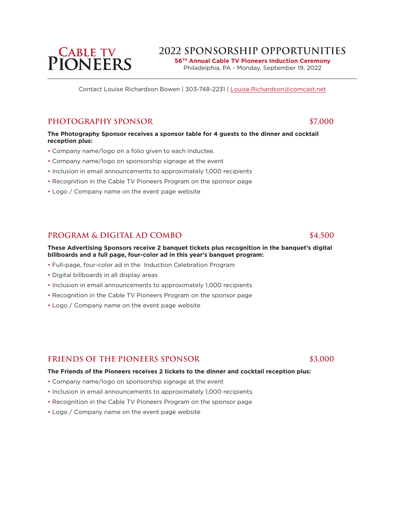**56TH Annual Cable TV Pioneers Induction Ceremony**  Philadelphia, PA - Monday, September 19, 2022

Contact Louise Richardson Bowen | 303-748-2231 | Louise.Richardson@comcast.net

### **PHOTOGRAPHY SPONSOR \$7,000**

**The Photography Sponsor receives a sponsor table for 4 guests to the dinner and cocktail reception plus:**

- Company name/logo on a folio given to each Inductee.
- Company name/logo on sponsorship signage at the event
- Inclusion in email announcements to approximately 1,000 recipients
- Recognition in the Cable TV Pioneers Program on the sponsor page
- Logo / Company name on the event page website

## **PROGRAM & DIGITAL AD COMBO \$4,500**

#### **These Advertising Sponsors receive 2 banquet tickets plus recognition in the banquet's digital billboards and a full page, four-color ad in this year's banquet program:**

- Full-page, four-color ad in the Induction Celebration Program
- Digital billboards in all display areas
- Inclusion in email announcements to approximately 1,000 recipients
- Recognition in the Cable TV Pioneers Program on the sponsor page
- Logo / Company name on the event page website

#### **FRIENDS of the PIONEERS SPONSOR \$3,000**

#### **The Friends of the Pioneers receives 2 tickets to the dinner and cocktail reception plus:**

- Company name/logo on sponsorship signage at the event
- Inclusion in email announcements to approximately 1,000 recipients
- Recognition in the Cable TV Pioneers Program on the sponsor page
- Logo / Company name on the event page website

## **PIONEERS**